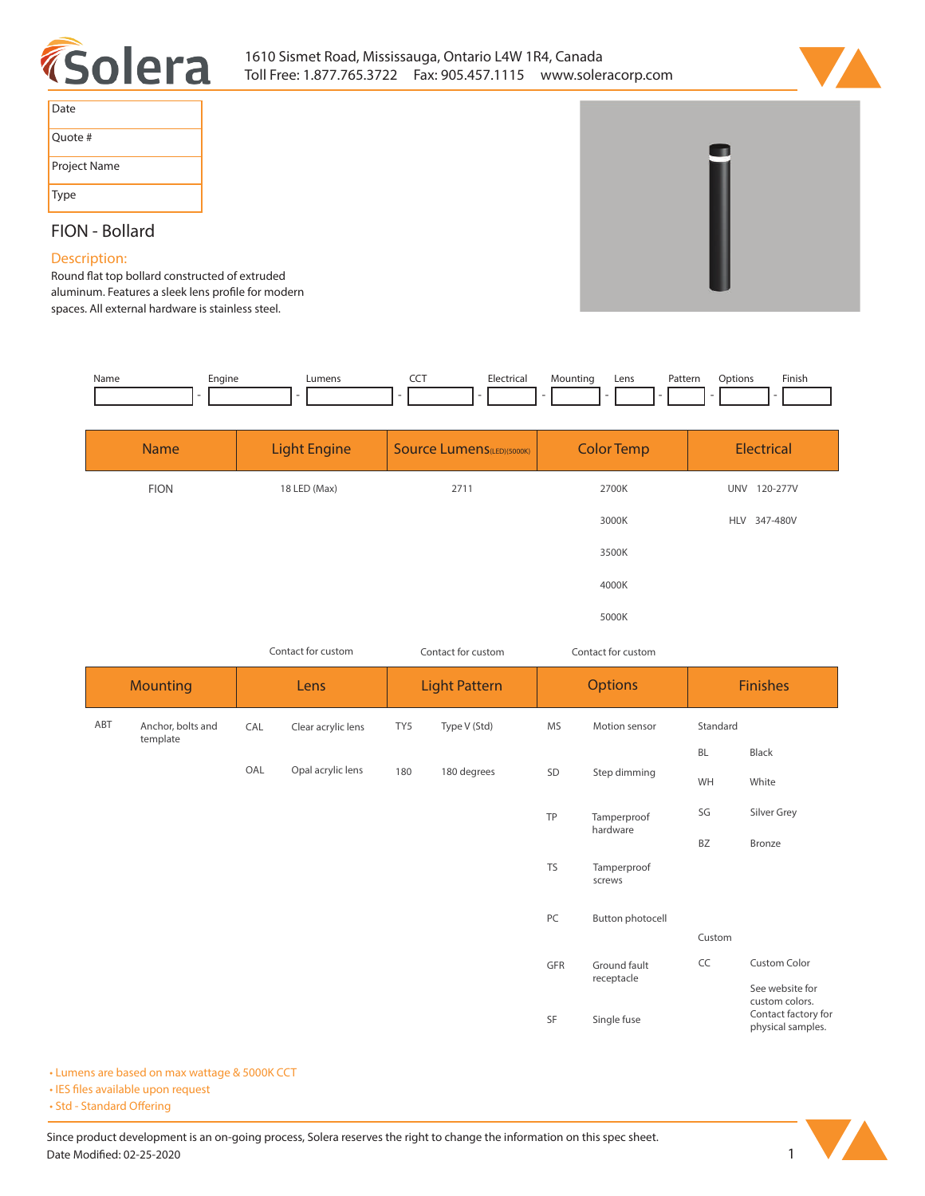



| Date         |
|--------------|
| Quote #      |
| Project Name |
| <b>Type</b>  |

## **FION - Bollard**

## **Description:**

Round flat top bollard constructed of extruded aluminum. Features a sleek lens profile for modern **spaces. All external hardware is stainless steel.** 

| Name | Enaine | _umens | --- | L <sub>0</sub><br>ricar | untinc | Lens | $J \eta + \eta \gamma$<br>rattenn |  | Finish<br>_____ |
|------|--------|--------|-----|-------------------------|--------|------|-----------------------------------|--|-----------------|
|      |        |        |     |                         |        |      |                                   |  |                 |

| Electrical   |
|--------------|
| UNV 120-277V |
| HLV 347-480V |
|              |
|              |
|              |
|              |

|                 |                               |      | Contact for custom |     | Contact for custom   |           | Contact for custom      |                 |                                                            |  |  |
|-----------------|-------------------------------|------|--------------------|-----|----------------------|-----------|-------------------------|-----------------|------------------------------------------------------------|--|--|
| <b>Mounting</b> |                               | Lens |                    |     | <b>Light Pattern</b> |           | <b>Options</b>          | <b>Finishes</b> |                                                            |  |  |
| ABT             | Anchor, bolts and<br>template | CAL  | Clear acrylic lens | TY5 | Type V (Std)         | <b>MS</b> | Motion sensor           | Standard        |                                                            |  |  |
|                 |                               |      |                    |     |                      |           |                         | <b>BL</b>       | Black                                                      |  |  |
|                 |                               | OAL  | Opal acrylic lens  | 180 | 180 degrees          | SD        | Step dimming            | WH              | White                                                      |  |  |
|                 |                               |      |                    |     |                      | TP        | Tamperproof<br>hardware | SG              | Silver Grey                                                |  |  |
|                 |                               |      |                    |     |                      |           |                         | <b>BZ</b>       | Bronze                                                     |  |  |
|                 |                               |      |                    |     |                      | <b>TS</b> | Tamperproof<br>screws   |                 |                                                            |  |  |
|                 |                               |      |                    |     |                      | PC        | <b>Button photocell</b> |                 |                                                            |  |  |
|                 |                               |      |                    |     |                      |           |                         | Custom          |                                                            |  |  |
|                 |                               |      |                    |     |                      | GFR       | Ground fault            | CC              | Custom Color                                               |  |  |
|                 |                               |      |                    |     |                      |           | receptacle              |                 | See website for                                            |  |  |
|                 |                               |      |                    |     |                      | SF        | Single fuse             |                 | custom colors.<br>Contact factory for<br>physical samples. |  |  |

**• Lumens are based on max wattage & 5000K CCT**

**• IES files available upon request** 

• Std - Standard Offering

Since product development is an on-going process, Solera reserves the right to change the information on this spec sheet. **Date Modified: 02-25-2020** 1